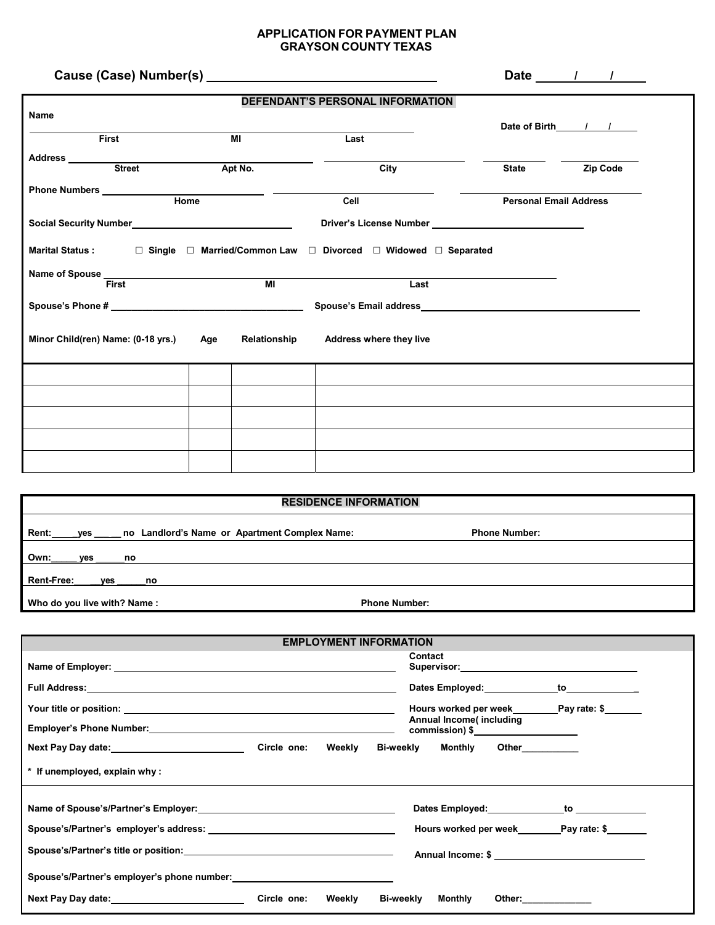## **APPLICATION FOR PAYMENT PLAN GRAYSON COUNTY TEXAS**

|                                                                                                      |  |                |                                                                                                                                                                                                                               |                               | Date $\frac{1}{\sqrt{1-\frac{1}{2}}}$ |  |
|------------------------------------------------------------------------------------------------------|--|----------------|-------------------------------------------------------------------------------------------------------------------------------------------------------------------------------------------------------------------------------|-------------------------------|---------------------------------------|--|
|                                                                                                      |  |                | <b>DEFENDANT'S PERSONAL INFORMATION</b>                                                                                                                                                                                       |                               |                                       |  |
| Name                                                                                                 |  |                |                                                                                                                                                                                                                               |                               | Date of Birth / /                     |  |
| <b>First</b>                                                                                         |  | MI             | Last                                                                                                                                                                                                                          |                               |                                       |  |
| Address _______                                                                                      |  |                |                                                                                                                                                                                                                               |                               |                                       |  |
| Street                                                                                               |  | Apt No.        | City                                                                                                                                                                                                                          | State <b>Zip Code</b>         |                                       |  |
|                                                                                                      |  |                |                                                                                                                                                                                                                               |                               |                                       |  |
|                                                                                                      |  |                | Cell                                                                                                                                                                                                                          | <b>Personal Email Address</b> |                                       |  |
| Social Security Number<br>Social Security Number<br>Social Security Number<br>Social Security Number |  |                |                                                                                                                                                                                                                               |                               |                                       |  |
| Marital Status : □ Single □ Married/Common Law □ Divorced □ Widowed □ Separated                      |  |                |                                                                                                                                                                                                                               |                               |                                       |  |
|                                                                                                      |  |                |                                                                                                                                                                                                                               |                               |                                       |  |
| Name of Spouse<br>First                                                                              |  | M <sub>l</sub> | Last                                                                                                                                                                                                                          |                               |                                       |  |
|                                                                                                      |  |                | Spouse's Email address and the state of the state of the state of the state of the state of the state of the state of the state of the state of the state of the state of the state of the state of the state of the state of |                               |                                       |  |
| Minor Child(ren) Name: (0-18 yrs.) Age                                                               |  | Relationship   | <b>Address where they live</b>                                                                                                                                                                                                |                               |                                       |  |
|                                                                                                      |  |                |                                                                                                                                                                                                                               |                               |                                       |  |
|                                                                                                      |  |                |                                                                                                                                                                                                                               |                               |                                       |  |
|                                                                                                      |  |                |                                                                                                                                                                                                                               |                               |                                       |  |
|                                                                                                      |  |                |                                                                                                                                                                                                                               |                               |                                       |  |
|                                                                                                      |  |                |                                                                                                                                                                                                                               |                               |                                       |  |

| <b>RESIDENCE INFORMATION</b>                                         |                      |  |  |  |
|----------------------------------------------------------------------|----------------------|--|--|--|
| <b>Rent:</b><br>no Landlord's Name or Apartment Complex Name:<br>yes | <b>Phone Number:</b> |  |  |  |
| Own:<br>ves<br>no                                                    |                      |  |  |  |
| <b>Rent-Free:</b><br>ves<br>no                                       |                      |  |  |  |
| Who do you live with? Name:<br><b>Phone Number:</b>                  |                      |  |  |  |

| <b>EMPLOYMENT INFORMATION</b>                                                                                    |                       |                                                                                                                                                                                                                                |  |
|------------------------------------------------------------------------------------------------------------------|-----------------------|--------------------------------------------------------------------------------------------------------------------------------------------------------------------------------------------------------------------------------|--|
|                                                                                                                  |                       | Contact                                                                                                                                                                                                                        |  |
| Full Address: <u>Andre Communication and Communication and Communication and Communication and Communication</u> |                       | Dates Employed: _______________to_____________                                                                                                                                                                                 |  |
|                                                                                                                  |                       |                                                                                                                                                                                                                                |  |
|                                                                                                                  |                       | Annual Income(including<br>$commission)$ \$                                                                                                                                                                                    |  |
| Next Pay Day date: Manual Manual Mext Pay Day date:                                                              | Circle one:<br>Weekly | Bi-weekly Monthly Other                                                                                                                                                                                                        |  |
| * If unemployed, explain why:                                                                                    |                       |                                                                                                                                                                                                                                |  |
|                                                                                                                  |                       | Dates Employed: to to the contract of the contract of the contract of the contract of the contract of the contract of the contract of the contract of the contract of the contract of the contract of the contract of the cont |  |
|                                                                                                                  |                       | Hours worked per week Pay rate: \$                                                                                                                                                                                             |  |
|                                                                                                                  |                       | Annual Income: \$                                                                                                                                                                                                              |  |
| Spouse's/Partner's employer's phone number:                                                                      |                       |                                                                                                                                                                                                                                |  |
|                                                                                                                  | Circle one:<br>Weekly | Bi-weekly<br>Monthly<br>Other: ____________                                                                                                                                                                                    |  |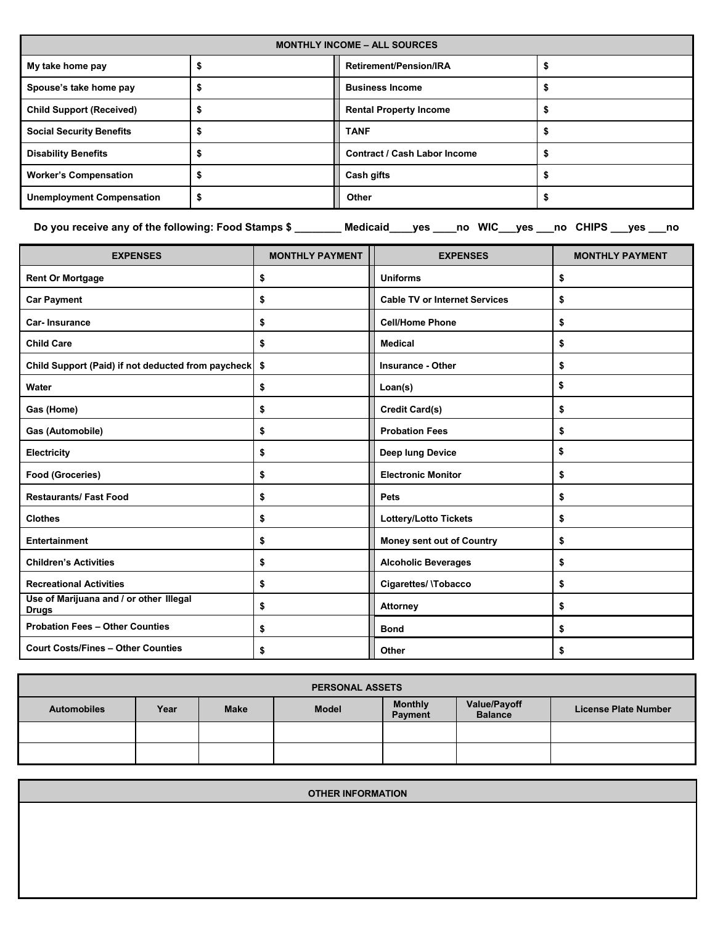| <b>MONTHLY INCOME - ALL SOURCES</b> |  |                                     |  |  |
|-------------------------------------|--|-------------------------------------|--|--|
| My take home pay                    |  | <b>Retirement/Pension/IRA</b>       |  |  |
| Spouse's take home pay              |  | <b>Business Income</b>              |  |  |
| <b>Child Support (Received)</b>     |  | <b>Rental Property Income</b>       |  |  |
| <b>Social Security Benefits</b>     |  | <b>TANF</b>                         |  |  |
| <b>Disability Benefits</b>          |  | <b>Contract / Cash Labor Income</b> |  |  |
| <b>Worker's Compensation</b>        |  | Cash gifts                          |  |  |
| <b>Unemployment Compensation</b>    |  | Other                               |  |  |

**Do you receive any of the following: Food Stamps \$ \_\_\_\_\_\_\_\_ Medicaid\_\_\_\_yes \_\_\_\_no WIC\_\_\_yes \_\_\_no CHIPS \_\_\_yes \_\_\_no** 

| <b>EXPENSES</b>                                         | <b>MONTHLY PAYMENT</b> | <b>EXPENSES</b>                      | <b>MONTHLY PAYMENT</b> |
|---------------------------------------------------------|------------------------|--------------------------------------|------------------------|
| <b>Rent Or Mortgage</b>                                 | \$                     | <b>Uniforms</b>                      | \$                     |
| <b>Car Payment</b>                                      | \$                     | <b>Cable TV or Internet Services</b> | \$                     |
| <b>Car-Insurance</b>                                    | \$                     | <b>Cell/Home Phone</b>               | \$                     |
| <b>Child Care</b>                                       | \$                     | <b>Medical</b>                       | \$                     |
| Child Support (Paid) if not deducted from paycheck \$   |                        | <b>Insurance - Other</b>             | \$                     |
| Water                                                   | \$                     | Loan(s)                              | \$                     |
| Gas (Home)                                              | \$                     | Credit Card(s)                       | \$                     |
| Gas (Automobile)                                        | \$                     | <b>Probation Fees</b>                | \$                     |
| Electricity                                             | \$                     | Deep lung Device                     | \$                     |
| <b>Food (Groceries)</b>                                 | \$                     | <b>Electronic Monitor</b>            | \$                     |
| <b>Restaurants/Fast Food</b>                            | \$                     | <b>Pets</b>                          | \$                     |
| <b>Clothes</b>                                          | \$                     | <b>Lottery/Lotto Tickets</b>         | \$                     |
| Entertainment                                           | \$                     | Money sent out of Country            | \$                     |
| <b>Children's Activities</b>                            | \$                     | <b>Alcoholic Beverages</b>           | \$                     |
| <b>Recreational Activities</b>                          | \$                     | Cigarettes/ \Tobacco                 | \$                     |
| Use of Marijuana and / or other Illegal<br><b>Drugs</b> | \$                     | <b>Attorney</b>                      | \$                     |
| <b>Probation Fees - Other Counties</b>                  | \$                     | <b>Bond</b>                          | \$                     |
| <b>Court Costs/Fines - Other Counties</b>               | \$                     | Other                                | \$                     |

| <b>PERSONAL ASSETS</b> |      |             |              |                                  |                                       |                             |
|------------------------|------|-------------|--------------|----------------------------------|---------------------------------------|-----------------------------|
| <b>Automobiles</b>     | Year | <b>Make</b> | <b>Model</b> | <b>Monthly</b><br><b>Payment</b> | <b>Value/Payoff</b><br><b>Balance</b> | <b>License Plate Number</b> |
|                        |      |             |              |                                  |                                       |                             |
|                        |      |             |              |                                  |                                       |                             |

| <b>OTHER INFORMATION</b> |  |
|--------------------------|--|
|                          |  |
|                          |  |
|                          |  |
|                          |  |